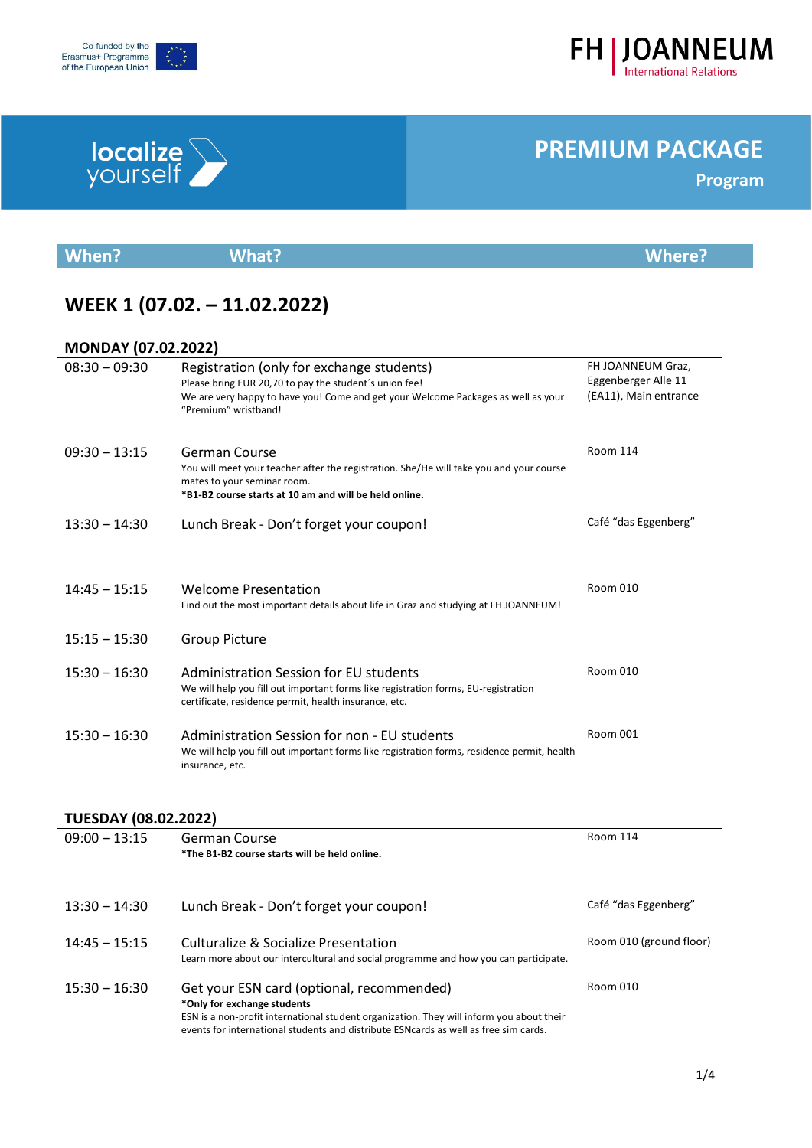## **PREMIUM PACKAGE**

| <b>When?</b> | <b>What?</b> | <b>Where?</b> |
|--------------|--------------|---------------|
|              |              |               |

## **WEEK 1 (07.02. – 11.02.2022)**

#### **MONDAY (07.02.2022)**

| $08:30 - 09:30$             | Registration (only for exchange students)<br>Please bring EUR 20,70 to pay the student's union fee!<br>We are very happy to have you! Come and get your Welcome Packages as well as your<br>"Premium" wristband! | FH JOANNEUM Graz,<br>Eggenberger Alle 11<br>(EA11), Main entrance |
|-----------------------------|------------------------------------------------------------------------------------------------------------------------------------------------------------------------------------------------------------------|-------------------------------------------------------------------|
| $09:30 - 13:15$             | German Course<br>You will meet your teacher after the registration. She/He will take you and your course<br>mates to your seminar room.<br>*B1-B2 course starts at 10 am and will be held online.                | <b>Room 114</b>                                                   |
| $13:30 - 14:30$             | Lunch Break - Don't forget your coupon!                                                                                                                                                                          | Café "das Eggenberg"                                              |
| $14:45 - 15:15$             | <b>Welcome Presentation</b><br>Find out the most important details about life in Graz and studying at FH JOANNEUM!                                                                                               | <b>Room 010</b>                                                   |
| $15:15 - 15:30$             | <b>Group Picture</b>                                                                                                                                                                                             |                                                                   |
| $15:30 - 16:30$             | <b>Administration Session for EU students</b><br>We will help you fill out important forms like registration forms, EU-registration<br>certificate, residence permit, health insurance, etc.                     | <b>Room 010</b>                                                   |
| $15:30 - 16:30$             | Administration Session for non - EU students<br>We will help you fill out important forms like registration forms, residence permit, health<br>insurance, etc.                                                   | <b>Room 001</b>                                                   |
| <b>TUESDAY (08.02.2022)</b> |                                                                                                                                                                                                                  |                                                                   |
| $09:00 - 13:15$             | German Course<br>*The B1-B2 course starts will be held online.                                                                                                                                                   | <b>Room 114</b>                                                   |



Co-funded by the Erasmus+ Programme<br>of the European Union

#### 13:30 – 14:30 Lunch Break - Don't forget your coupon! Café "das Eggenberg" 14:45 – 15:15 Culturalize & Socialize Presentation Learn more about our intercultural and social programme and how you can participate. Room 010 (ground floor) 15:30 – 16:30 Get your ESN card (optional, recommended) **\*Only for exchange students** ESN is a non-profit international student organization. They will inform you about their events for international students and distribute ESNcards as well as free sim cards. Room 010



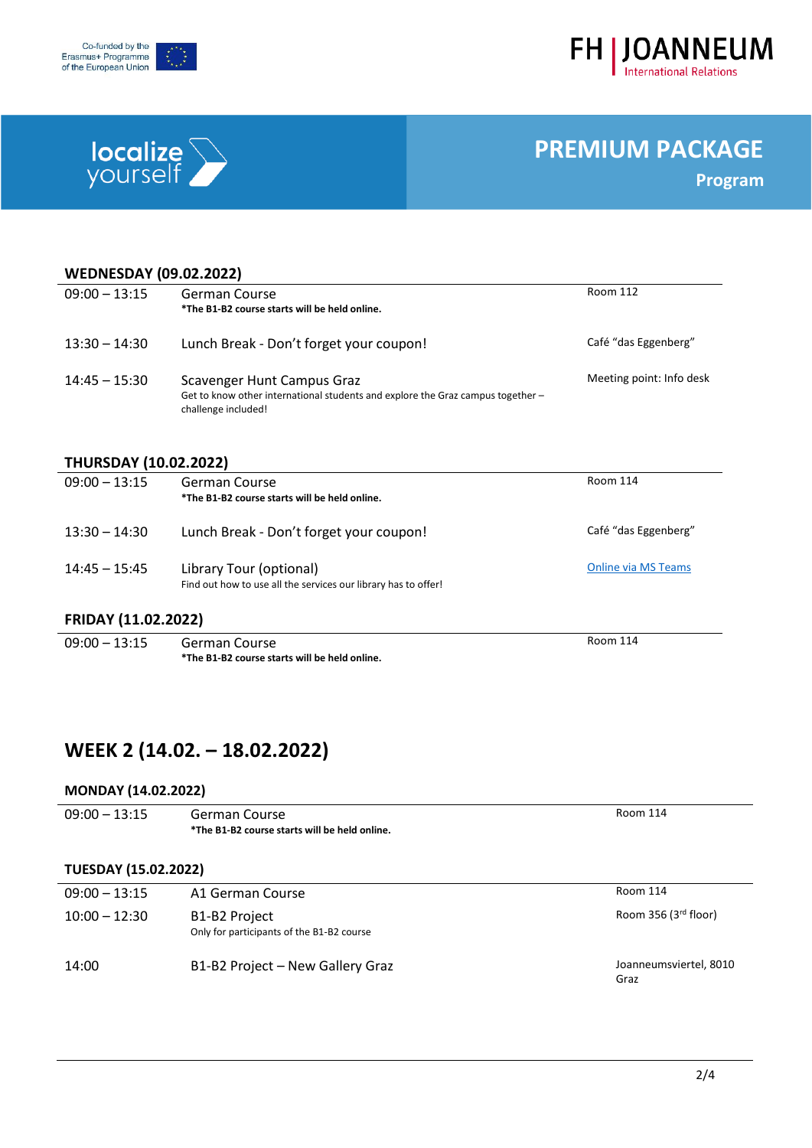



# **localize**<br>yourself

## **PREMIUM PACKAGE**

**Program**

| <b>WEDNESDAY (09.02.2022)</b> |                                                                                                                                      |                            |  |  |
|-------------------------------|--------------------------------------------------------------------------------------------------------------------------------------|----------------------------|--|--|
| $09:00 - 13:15$               | German Course<br>*The B1-B2 course starts will be held online.                                                                       | <b>Room 112</b>            |  |  |
|                               |                                                                                                                                      |                            |  |  |
| $13:30 - 14:30$               | Lunch Break - Don't forget your coupon!                                                                                              | Café "das Eggenberg"       |  |  |
| $14:45 - 15:30$               | Scavenger Hunt Campus Graz<br>Get to know other international students and explore the Graz campus together -<br>challenge included! | Meeting point: Info desk   |  |  |
|                               |                                                                                                                                      |                            |  |  |
| <b>THURSDAY (10.02.2022)</b>  |                                                                                                                                      | Room 114                   |  |  |
| $09:00 - 13:15$               | German Course<br>*The B1-B2 course starts will be held online.                                                                       |                            |  |  |
|                               |                                                                                                                                      |                            |  |  |
| $13:30 - 14:30$               | Lunch Break - Don't forget your coupon!                                                                                              | Café "das Eggenberg"       |  |  |
|                               |                                                                                                                                      |                            |  |  |
| $14:45 - 15:45$               | Library Tour (optional)<br>Find out how to use all the services our library has to offer!                                            | <b>Online via MS Teams</b> |  |  |
|                               |                                                                                                                                      |                            |  |  |
| <b>FRIDAY (11.02.2022)</b>    |                                                                                                                                      |                            |  |  |
| $09:00 - 13:15$               | <b>German Course</b>                                                                                                                 | <b>Room 114</b>            |  |  |
|                               | *The B1-B2 course starts will be held online.                                                                                        |                            |  |  |

### **WEEK 2 (14.02. – 18.02.2022)**

#### **MONDAY (14.02.2022)**

| $09:00 - 13:15$             | German Course<br>*The B1-B2 course starts will be held online. | Room 114                       |
|-----------------------------|----------------------------------------------------------------|--------------------------------|
| <b>TUESDAY (15.02.2022)</b> |                                                                |                                |
| $09:00 - 13:15$             | A1 German Course                                               | Room 114                       |
| $10:00 - 12:30$             | B1-B2 Project<br>Only for participants of the B1-B2 course     | Room 356 (3rd floor)           |
| 14:00                       | B1-B2 Project - New Gallery Graz                               | Joanneumsviertel, 8010<br>Graz |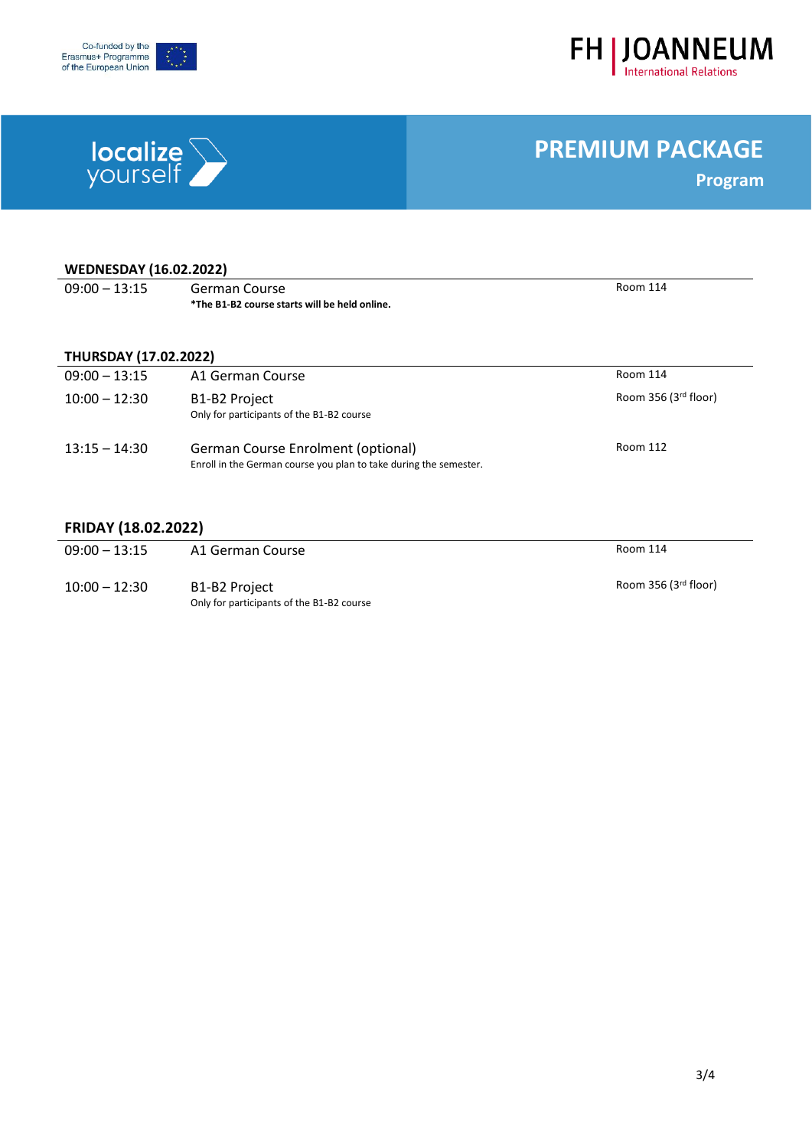



# **localize**

## **PREMIUM PACKAGE**

**Program**

| <b>WEDNESDAY (16.02.2022)</b> |                                                                                                         |                      |  |
|-------------------------------|---------------------------------------------------------------------------------------------------------|----------------------|--|
| $09:00 - 13:15$               | German Course                                                                                           | Room 114             |  |
|                               | *The B1-B2 course starts will be held online.                                                           |                      |  |
|                               |                                                                                                         |                      |  |
| <b>THURSDAY (17.02.2022)</b>  |                                                                                                         |                      |  |
| $09:00 - 13:15$               | A1 German Course                                                                                        | Room 114             |  |
| $10:00 - 12:30$               | B <sub>1</sub> -B <sub>2</sub> Project                                                                  | Room 356 (3rd floor) |  |
|                               | Only for participants of the B1-B2 course                                                               |                      |  |
| $13:15 - 14:30$               | German Course Enrolment (optional)<br>Enroll in the German course you plan to take during the semester. | Room 112             |  |

#### **FRIDAY (18.02.2022)**

| $09:00 - 13:15$ | A1 German Course                                           | Room 114             |
|-----------------|------------------------------------------------------------|----------------------|
| $10:00 - 12:30$ | B1-B2 Project<br>Only for participants of the B1-B2 course | Room 356 (3rd floor) |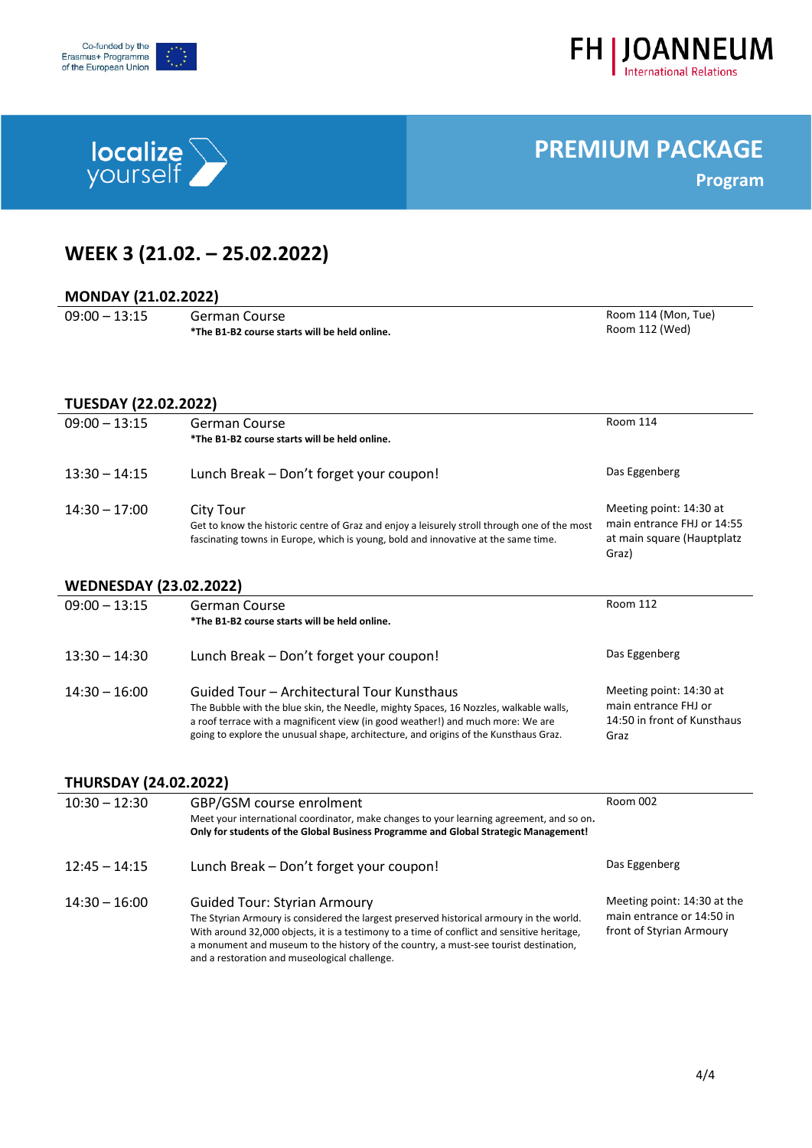



# **localize**

## **PREMIUM PACKAGE**

**Program**

## **WEEK 3 (21.02. – 25.02.2022)**

### **MONDAY (21.02.2022)**

| $09:00 - 13:15$ |  |
|-----------------|--|

 $\overline{a}$ 

| German Course                                 |
|-----------------------------------------------|
| *The B1-B2 course starts will be held online. |

#### Room 114 (Mon, Tue) Room 112 (Wed)

### **TUESDAY (22.02.2022)**

| $09:00 - 13:15$               | German Course<br>*The B1-B2 course starts will be held online.                                                                                                                                                                                                                                                 | <b>Room 114</b>                                                                              |  |  |
|-------------------------------|----------------------------------------------------------------------------------------------------------------------------------------------------------------------------------------------------------------------------------------------------------------------------------------------------------------|----------------------------------------------------------------------------------------------|--|--|
| $13:30 - 14:15$               | Lunch Break - Don't forget your coupon!                                                                                                                                                                                                                                                                        | Das Eggenberg                                                                                |  |  |
| $14:30 - 17:00$               | City Tour<br>Get to know the historic centre of Graz and enjoy a leisurely stroll through one of the most<br>fascinating towns in Europe, which is young, bold and innovative at the same time.                                                                                                                | Meeting point: 14:30 at<br>main entrance FHJ or 14:55<br>at main square (Hauptplatz<br>Graz) |  |  |
| <b>WEDNESDAY (23.02.2022)</b> |                                                                                                                                                                                                                                                                                                                |                                                                                              |  |  |
| $09:00 - 13:15$               | <b>German Course</b><br>*The B1-B2 course starts will be held online.                                                                                                                                                                                                                                          | Room 112                                                                                     |  |  |
| $13:30 - 14:30$               | Lunch Break - Don't forget your coupon!                                                                                                                                                                                                                                                                        | Das Eggenberg                                                                                |  |  |
| $14:30 - 16:00$               | Guided Tour – Architectural Tour Kunsthaus<br>The Bubble with the blue skin, the Needle, mighty Spaces, 16 Nozzles, walkable walls,<br>a roof terrace with a magnificent view (in good weather!) and much more: We are<br>going to explore the unusual shape, architecture, and origins of the Kunsthaus Graz. | Meeting point: 14:30 at<br>main entrance FHJ or<br>14:50 in front of Kunsthaus<br>Graz       |  |  |

#### **THURSDAY (24.02.2022)**

| $10:30 - 12:30$ | GBP/GSM course enrolment<br>Meet your international coordinator, make changes to your learning agreement, and so on.<br>Only for students of the Global Business Programme and Global Strategic Management!                                                                                                                                                             | Room 002                                                                             |
|-----------------|-------------------------------------------------------------------------------------------------------------------------------------------------------------------------------------------------------------------------------------------------------------------------------------------------------------------------------------------------------------------------|--------------------------------------------------------------------------------------|
| $12:45 - 14:15$ | Lunch Break - Don't forget your coupon!                                                                                                                                                                                                                                                                                                                                 | Das Eggenberg                                                                        |
| $14:30 - 16:00$ | <b>Guided Tour: Styrian Armoury</b><br>The Styrian Armoury is considered the largest preserved historical armoury in the world.<br>With around 32,000 objects, it is a testimony to a time of conflict and sensitive heritage,<br>a monument and museum to the history of the country, a must-see tourist destination,<br>and a restoration and museological challenge. | Meeting point: 14:30 at the<br>main entrance or 14:50 in<br>front of Styrian Armoury |